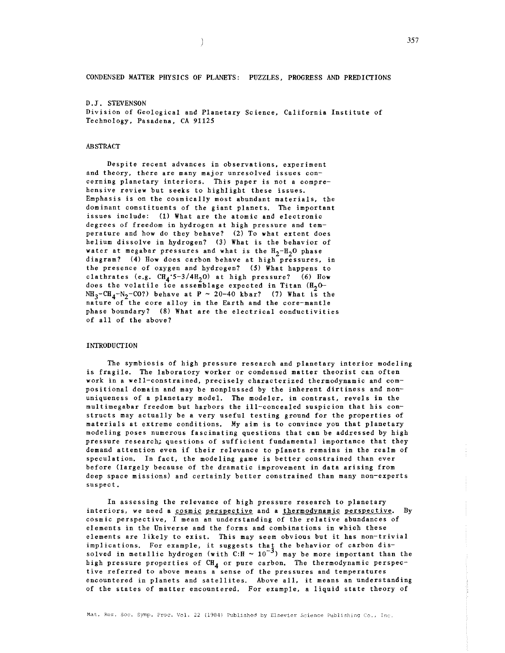CONDENSED MATTER PHYSICS OF PLANETS: PUZZLES, PROGRESS AND PREDICTIONS

D.J. STEVENSON Division of Geological and Planetary Science, California Institute of Technology, Pasadena, CA 91125

# ABSTRACT

**Despite recent advances in observations. experiment and theory, there are many major unresolved issues con**cerning planetary interiors. This paper is not a comprehensive review but seeks to highlight these issues. Emphasis is on the cosmically most abundant materials, the dominant constituents of the giant planets. The important issues include: (1) What are the atomic and electronic degrees of freedom in hydrogen at high pressure and temperature and how do they behave? (2) To what extent does helium dissolve in hydrogen? (3) What is the behavior of water at megabar pressures and what is the  $H_2-H_2O$  phase diagram? (4) How does carbon behave at high pressures, in the presence of oxygen and hydrogen? (5) What happens to clathrates (e.g.  $\text{CH}_{4}$ : 5-3/4H<sub>2</sub>O) at high pressure? (6) How does the volatile ice assemblage expected in Titan  $(H<sub>2</sub>0 NH_3-CH_4-N_2-CO$ ?) behave at P ~ 20-40 kbar? (7) What is the nature of the core alloy in the Earth and the core-mantle phase boundary? (8) What are the electrical conductivities of all of the above?

# **INTRODUCTION**

The symbiosis of high pressure research and planetary interior modeling is fragile. The laboratory worker or condensed matter theorist can often work in a well-constrained, precisely characterized thermodynamic and compositional domain and may be nonplussed by the inherent dirtiness and nonuniqueness of a planetary model. The modeler, in contrast, revels in the multimegabar freedom but harbors the ill-concealed suspicion that his constructs may actually be a very useful testing ground for the properties of materials at extreme conditions. My aim is to convince you that planetary modeling poses numerous fascinating questions that can be addressed by high pressure research; questions of sufficient fundamental importance that they demand attention even if their relevance to planets remains in the realm of speculation. In fact, the modeling game is better constrained than ever before (largely because of the dramatic improvement in data arising from deep space missions) and certainly better constrained than many non-experts suspect.

In assessing the relevance of high pressure research to planetary **interiors, we need a cosmic perspective and a thermodynamic perspective. By**  cosmic perspective, I mean an understanding of the relative abundances of elements in the Universe and the forms and combinations in which these elements are likely to exist. This may seem obvious but it has non-trivial implications. For example, it suggests thaj the behavior of carbon dissolved in metallic hydrogen (with  $C:H \sim 10^{-3}$ ) may be more important than the high pressure properties of CH<sub>4</sub> or pure carbon. The thermodynamic perspective referred to above means a sense of the pressures and temperatures encountered in planets and satellites. Above all, it means an understanding of the states of matter encountered. For example, a liquid state theory of

Mat. Res. Soc. Symp. Proc. Vol. 22 (1984) Published by Elsevier Science Publishing Co., Inc.

 $\big)$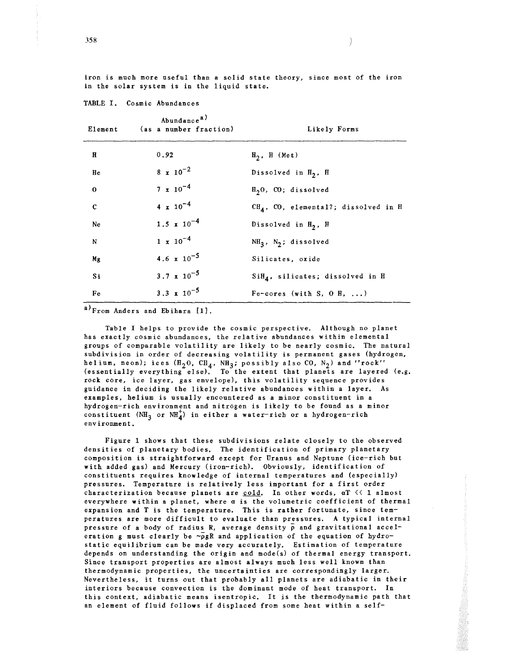iron is much more useful than a solid state theory, since most of the iron in the solar system is in the liquid state.

| Element       | Abundance <sup>a)</sup><br>(as a number fraction) | Likely Forms                           |
|---------------|---------------------------------------------------|----------------------------------------|
| Я             | 0.92                                              | $H_2$ , H (Met)                        |
| He            | $8 \times 10^{-2}$                                | Dissolved in $H_2$ , H                 |
| $\Omega$      | $7 \times 10^{-4}$                                | $H20$ , CO; dissolved                  |
| $\mathbf{c}$  | $4 \times 10^{-4}$                                | $CHA$ , CO, elemental?; dissolved in H |
| Ne            | $1.5 \times 10^{-4}$                              | Dissolved in $H_2$ , H                 |
| N             | $1 \times 10^{-4}$                                | $NH_3$ , $N_2$ ; dissolved             |
| Mg            | 4.6 $\times 10^{-5}$                              | Silicates, oxide                       |
| Si            | $3.7 \times 10^{-5}$                              | $SiH4$ , silicates; dissolved in H     |
| Fe            | 3.3 $\sqrt{x}$ 10 <sup>-5</sup>                   | $F$ e-cores (with S, O H, )            |
| $\sim$ $\sim$ |                                                   |                                        |

TABLE I. Cosmic Abundances

a)From Anders and Ebihara [1].

Table I helps to provide the cosmic perspective. Although no planet has exactly cosmic abundances, the relative abundances within elemental groups of comparable volatility are likely to be nearly cosmic. The natural subdivision in order of decreasing volatility is permanent gases (hydrogen, helium, neon); ices  $(H_2O, CH_4, NH_3;$  possibly also CO,  $N_2$ ) and ''rock''<br>(essentially everything else). To the extent that planets are layered (e.g. rock core, ice layer, gas envelope), this volatility sequence provides guidance in deciding the likely relative abundances within a layer. As **examples, helium is usually encountered as a minor constituent in a**  hydrogen-rich environment and nitrogen is likely to be found as a minor constituent  $(NH_3$  or  $NH_4^+)$  in either a water-rich or a hydrogen-rich **environment.** 

Figure 1 shows that these subdivisions relate closely to the observed densities of planetary bodies. The identification of primary planetary composition is straightforward except for Uranus and Neptune (ice-rich but with added gas) and Mercury (iron-rich). Obviously, identification of constituents requires knowledge of internal temperatures and (especially) pressures. Temperature is relatively less important for a first order characterization because planets are  $\frac{\text{cold}}{\text{6}}$ . In other words, aT  $\leq 1$  almost everywhere within a planet, where *a* is the volumetric coefficient of thermal expansion and T is the temperature. This is rather fortunate, since temperatures are more difficult to evaluate than pressures. A typical internal pressure of a body of radius R, average density  $\bar{\rho}$  and gravitational acceleration g must clearly be  $\sim_{\text{PgR}}$  and application of the equation of hydrostatic equilibrium can be made very accurately. Estimation of temperature depends on understanding the origin and mode(s) of thermal energy transport. Since transport properties are almost always much less well known than thermodynamic properties, the uncertainties are correspondingly larger. Nevertheless, it turns out that probably all planets are adiabatic in their interiors because convection is the dominant mode of heat transport. In this context, adiabatic means isentropic. It is the thermodynamic path that an element of fluid follows if displaced from some heat within a self-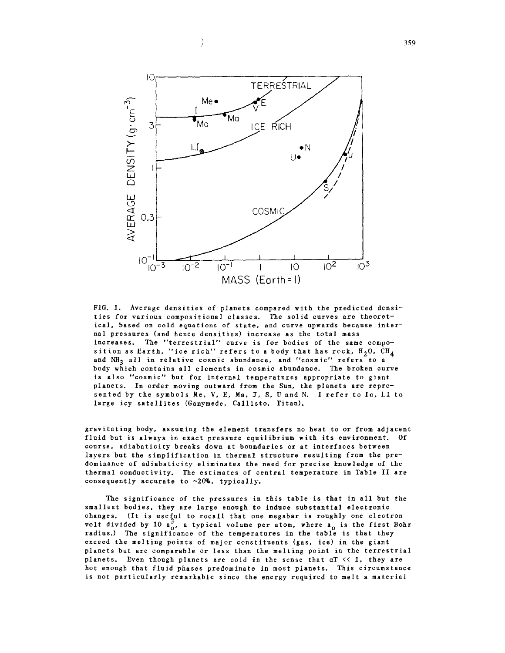

Ì

FIG. 1. Average densities of planets compared with the predicted densities for various compositional classes. The solid curves are theoret**ical, based on cold equations of state, and curve upwards because inter**nal pressures (and hence densities) increase as the total mass **increases. The "terrestrial" curve is for bodies of the same compo**sition as Earth, "ice rich" refers to a body that has reck,  $H_2O$ ,  $CH_4$ and NH<sub>3</sub> all in relative cosmic abundance, and "cosmic" refers to a body which contains all elements in cosmic abundance. The broken curve **is also "cosmic" but for internal temperatures appropriate to giant**  planets. In order moving outward from the Sun, the planets are represented by the symbols Me, V, E, Ma, J, S, U and N. I refer to Io, LI to large icy satellites (Ganymede, Callisto, Titan).

gravitating body, assuming the element transfers no heat to or from adjacent fluid but is always in exact pressure equilibrium with its environment. course, adiabaticity breaks down at boundaries or at interfaces between layers but the simplification in thermal structure resulting from the predominance of adiabaticity eliminates the need for precise knowledge of the thermal conductivity. The estimates of central temperature in Table II are consequently accurate to  $\sim 20\%$ , typically.

The significance of the pressures in this table is that in all but the smallest bodies, they are large enough to induce substantial electronic changes. (It is useful to recall that one megabar is roughly one electron volt divided by 10  $a_0^3$ , a typical volume per atom, where  $a_0$  is the first Bohr radius.) The significance of the temperatures in the table is that they exceed the melting points of major constituents (gas, ice) in the giant planets but are comparable or less than the melting point in the terrestrial planets. Even though planets are cold in the sense that  $aT \leq 1$ , they are hot enough that fluid phases predominate in most planets. This circumstance is not particularly remarkable since the energy required to melt a material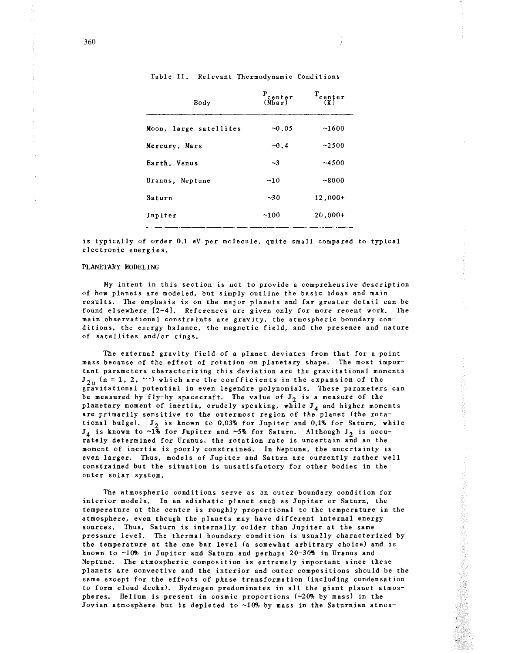| Body                   | $\frac{P_{\text{center}}}{(\text{Mbar})}$ | $T_{\substack{ept \text{er} \\ \{K\}}}$ |
|------------------------|-------------------------------------------|-----------------------------------------|
| Moon, large satellites | $-0.05$                                   | ~1600                                   |
| Mercury, Mars          | $-0.4$                                    | ~2500                                   |
| Earth. Venus           | $\sim$ 3                                  | ~14500                                  |
| Uranus, Neptune        | ~10                                       | ~8000                                   |
| Saturn                 | ~10                                       | $12.000+$                               |
| Jupiter                | ~100                                      | $20.000+$                               |

Table II. Relevant Thermodynamic Conditions

is typically of order 0.1 eV per molecule, quite small compared to typical **electronic energies.** 

#### PLANETARY MODELING

My intent in this section is not to provide a comprehensive description of how planets are modeled, but simply outline the basic ideas and main results. The emphasis is on the major planets and far greater detail can be found elsewhere [2-4]. References are given only for more recent work. The main observational constraints are gravity, the atmospheric boundary conditions, the energy balance, the magnetic field, and the presence and nature of satellites and/or rings.

The external gravity field of a planet deviates from that for a point mass because of the effect of rotation on planetary shape. The most important parameters characterizing this deviation are the gravitational moments  $J_{2n}$  (n = 1, 2,  $\cdots$ ) which are the coefficients in the expansion of the gravitational potential in even legendre polynomials. These parameters can be measured by fly-by spacecraft. The value of  $J_2$  is a measure of the planetary moment of inertia, crudely speaking, while  $J_4$  and higher moments are primarily sensitive to the outermost region of the planet (the rotational bulge).  $J_2$  is known to 0.03% for Jupiter and 0.1% for Saturn, while  $J_4$  is known to  $\sim 1\%$  for Jupiter and  $\sim 5\%$  for Saturn. Although  $J_2$  is accurately determined for Uranus, the rotation rate is uncertain and so the moment of inertia is poorly constrained. In Neptune, the uncertainty is even larger. Thus, models of Jupiter and Saturn are currently rather well constrained but the situation is unsatisfactory for other bodies in the outer solar system.

The atmospheric conditions serve as an outer boundary condition for interior models. In an adiabatic planet such as Jupiter or Saturn, the temperature at the center is roughly proportional to the temperature in the atmosphere, even though the planets may have different internal energy sources. Thus, Saturn is internally colder than Jupiter at the same pressure level. The thermal boundary condition is usually characterized by the temperature at the one bar level (a somewhat arbitrary choice) and is known to  $~10\%$  in Jupiter and Saturn and perhaps 20-30% in Uranus and Neptune. The atmospheric composition is extremely important since these planets are convective and the interior and outer compositions should be the same except for the effects of phase transformation (including condensation to form cloud decks). Hydrogen predominates in all the giant planet atmospheres. Helium is present in cosmic proportions  $(\sim 20\%$  by mass) in the Jovian atmosphere but is depleted to  $~10\%$  by mass in the Saturnian atmos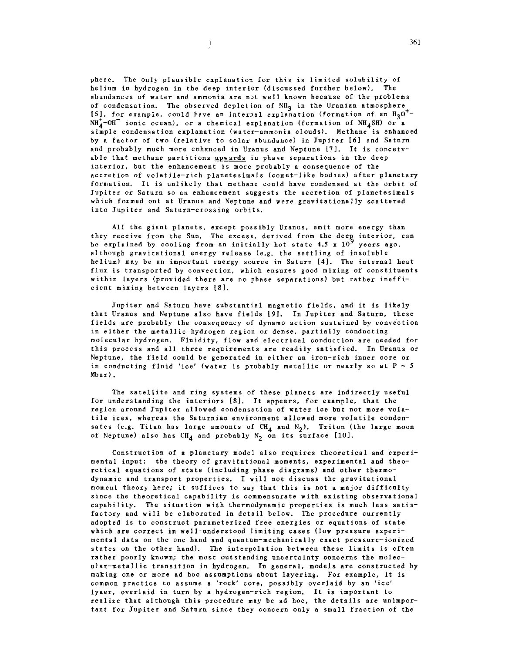phere. The only plausible explanation for this is limited solubility of helium in hydrogen in the deep interior (discussed further below). The abundances of water and ammonia are not well known because of the problems of condensation. The observed depletion of  $NH_3$  in the Uranian atmosphere [5], for example, could have an internal explanation (formation of an  $H_2O^+$ - $NH_{4}^{+}-OH^{-}$  ionic ocean), or a chemical explanation (formation of  $NH_{4}SH$ ) or a simple condensation explanation (water-ammonia clouds). Methane is enhanced by a factor of two (relative to solar abundance) in Jupiter [6] and Saturn and probably much more enhanced in Uranus and Neptune [7]. It is conceivable that methane partitions upwards in phase separations in the deep interior, but the enhancement is more probably a consequence of the accretion of volatile-rich planetesimals (comet-like bodies) after planetary formation. It is unlikely that methane could have condensed at the orbit of Jupiter or Saturn so an enhancement suggests the accretion of planetesimals which formed out at Uranus and Neptune and were gravitationally scattered into Jupiter and Saturn-crossing orbits.

 $\left\langle \right\rangle$ 

All the giant planets, except possibly Uranus, emit more energy than they receive from the Sun. The excess, derived from the deep interior, can be explained by cooling from an initially hot state 4.5 x  $10^9$  years ago, although gravitational energy release (e.g. the settling of insoluble helium) may be an important energy source in Saturn [4]. The internal heat flux is transported by convection, which ensures good mixing of constituents within layers (provided there are no phase separations) but rather inefficient mixing between layers [8].

Jupiter and Saturn have substantial magnetic fields, and it is likely that Uranus and Neptune also have fields [9]. In Jupiter and Saturn, these fields are probably the consequency of dynamo action sustained by convection in either the metallic hydrogen region or dense, partially conducting molecular hydrogen. Fluidity, flow and electrical conduction are needed for this process and all three requirements are readily satisfied. In Uranus or Neptune, the field could be generated in either an iron-rich inner core or in conducting fluid 'ice' (water is probably metallic or nearly so at  $P \sim 5$ Mbar).

The satellite and ring systems of these planets are indirectly useful for understanding the interiors (8]. It appears, for example, that the **region around Jupiter allowed condensation of water ice but not more vola**tile ices, whereas the Saturnian environment allowed more volatile condensates (e.g. Titan has large amounts of  $CH_4$  and  $N_2$ ). Triton (the large moon of Neptune) also has  $CH_4$  and probably  $N_2$  on its surface [10].

Construction of a planetary model also requires theoretical and experimental input: the theory of gravitational moments, experimental and theoretical equations of state (including phase diagrams) and other thermodynamic and transport properties. I will not discuss the gravitational moment theory here; it suffices to say that this is not a major difficulty since the theoretical capability is commensurate with existing observational capability. The situation with thermodynamic properties is much less satisfactory and will be elaborated in detail below. The procedure currently adopted is to construct parameterized free energies or equations of state which are correct in well-understood limiting cases (low pressure experimental data on the one hand and quantum-mechanically exact pressure-ionized states on the other hand). The interpolation between these limits is often rather poorly known; the most outstanding uncertainty concerns the molecular-metallic transition in hydrogen. In general, models are constructed by making one or more ad hoc assumptions about layering. For example, it is **common practice to assume a 'rock' core, possibly overlaid by an 'ice'**  lyaer, overlaid in turn by a hydrogen-rich region. It is important to realize that although this procedure may be ad hoc, the details are unimportant for Jupiter and Saturn since they concern only a small fraction of the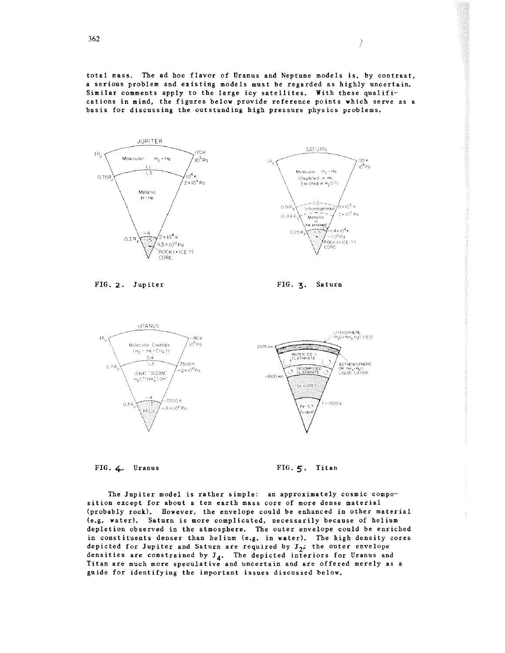total mass. The ad hoc flavor of Uranus and Neptune models is, by contrast, a serious problem and existing models must be regarded as highly uncertain. Similar comments apply to the large icy satellites. With these qualifications in mind, the figures below provide reference points which serve as a basis for discussing the outstanding high pressure physics problems.



FIG. 2. Jupiter

FIG. 3· Saturn

 $\big)$ 



FIG. 4. Uranus

FIG. *5.* Titan

The Jupiter model is rather simple: an approximately cosmic composition except for about a ten earth mass core of more dense material (probably rock). However, the envelope could be enhanced in other material (e.g. water). Saturn is more complicated, necessarily because of helium depletion observed in the atmosphere. The outer envelope could be enriched in constituents denser than helium (e.g. in water). The high density cores depicted for Jupiter and Saturn are required by  $J_{2}$ ; the outer envelope densities are constrained by  $J_4$ . The depicted interiors for Uranus and Titan are much more speculative and uncertain and are offered merely as a guide for identifying the important issues discussed below.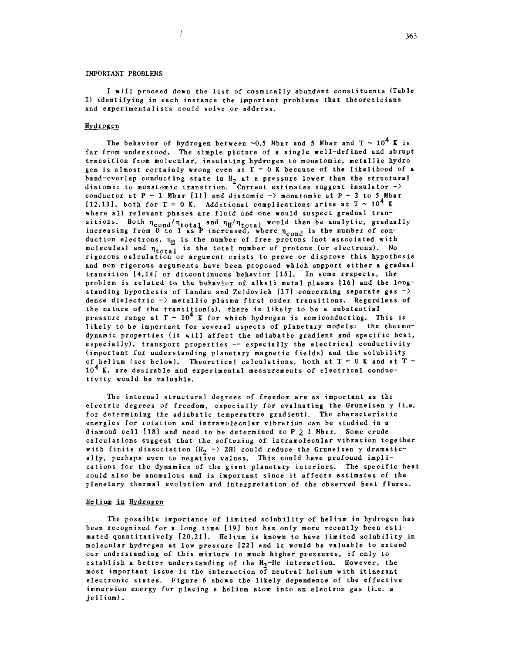# IMPORTANT PROBLEMS

 $\rightarrow$ 

I will proceed down the list of cosmically abundant constituents (Table I) identifying in each instance the important problems that theoreticians **and experimentalists could solve or address.** 

#### Hydrogen

The behavior of hydrogen between  $\sim 0.5$  Mbar and 5 Mbar and  $T \sim 10^4$  K is far from understood. The simple picture of a single well-defined and abrupt transition from molecular, insulating hydrogen to monatomic, metallic hydrogen is almost certainly wrong even at  $T = 0$  K because of the likelihood of a band-overlap conducting state in  $H_2$  at a pressure lower than the structural diatomic to monatomic transition. Current estimates suggest insulator  $\neg$ ) conductor at  $P \sim 1$  Mbar [11] and diatomic  $\rightarrow$  monatomic at  $P \sim 3$  to 5 Mbar [12,13], both for T = 0 K. Additional complications arise at T  $\sim 10^4$  K where all relevant phases are fluid and one would suspect gradual transitions. Both  $\eta_{\rm cond}/\eta_{\rm total}$  and  $\eta_{\rm H}/\eta_{\rm total}$  would then be analytic, gradually increasing from  $0$  to 1 as P increased, where  $\eta_{cond}$  is the number of conduction electrons,  $\eta_H$  is the number of free protons (not associated with molecules) and  $\eta_{total}$  is the total number of protons (or electrons). No rigorous calculation or argument exists to prove or disprove this hypothesis and non-rigorous arguments have been proposed which support either a gradual transition [4,14] or discontinuous behavior [15]. In some respects, the problem is related to the behavior of alkali metal plasms [16] and the longstanding hypothesis of Landau and Zeldovich [17] concerning separate gas  $\rightarrow$ dense dielectric -) metallic plasma first order transitions. Regardless of the nature of the transition(s), there is likely to be a substantial pressure range at  $T \sim 10^4$  K for which hydrogen is semiconducting. This is likely to be important for several aspects of planetary models: the thermodynamic properties (it will affect the adiabatic gradient and specific heat, especially), transport properties -- especially the electrical conductivity (important for understanding planetary magnetic fields) and the solubility of helium (see below). Theoretical calculations, both at  $T = 0$  K and at  $T \sim$  $10<sup>4</sup>$  K, are desirable and experimental measurements of electrical conductivity would be valuable.

The internal structural degrees of freedom are as important as the electric degrees of freedom, especially for evaluating the Gruneisen  $\gamma$  (i.e. for determining the adiabatic temperature gradient). The characteristic energies for rotation and intramolecular vibration can be studied in a diamond cell [18] and need to be determined to  $P \geq 1$  Mbar. Some crude calculations suggest that the softening of intramolecular vibration together with finite dissociation (H<sub>2</sub> -> 2H) could reduce the Gruneisen  $\gamma$  dramatically, perhaps even to negative values. This could have profound implications for the dynamics of the giant planetary interiors. The specific heat could also be anomalous and is important since it affects estimates of the planetary thermal evolution and interpretation of the observed heat fluxes.

# Helium in Hydrogen

The possible importance of limited solubility of helium in hydrogen has been recognized for a long time [19] but has only more recently been estimated quantitatively [20,21]. Helium is known to have limited solubility in molecular hydrogen at low pressure [221 and it would be valuable to extend our understanding of this mixture to much higher pressures, if only to establish a better understanding of the  $H_2$ -He interaction. However, the most important issue is the interaction of neutral helium with itinerant electronic states. Figure 6 shows the likely dependence of the effective immersion energy for placing a helium atom into an electron gas (i.e. a jellium).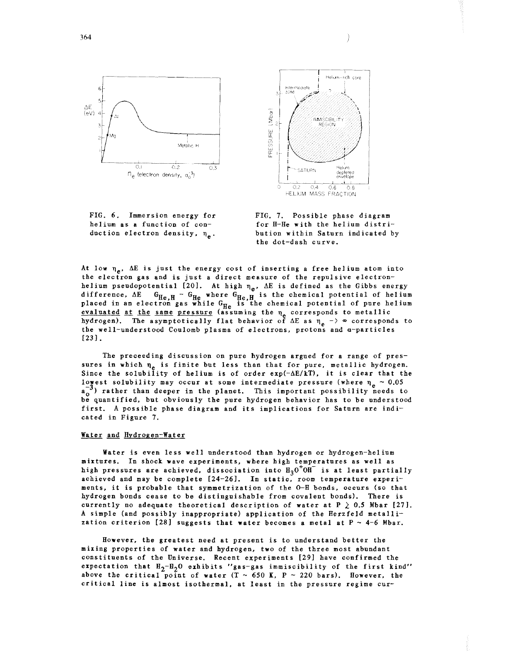





FIG. 7. Possible phase diagram for H-He with the helium distribution within Saturn indicated by the dot-dash curve.

At low  $\eta_{\mu}$ , AE is just the energy cost of inserting a free helium atom into the electron gas and is just a direct measure of the repulsive electronhelium pseudopotential [20]. At high  $\eta_e$ . AE is defined as the Gibbs energy difference,  $\Delta E$  G<sub>He, H</sub> - G<sub>He</sub> where G<sub>He, H</sub> is the chemical potential of helium placed in an electron gas while  $G_{\text{He}}$  is the chemical potential of pure helium evaluated at the same pressure (assuming the  $n_e$  corresponds to metallic hydrogen). The asymptotically flat behavior of  $\Delta E$  as  $\eta_e \to \infty$  corresponds to the well-understood Coulomb plasma of electrons, protons and a-particles [23] .

The preceeding discussion on pure hydrogen argued for a range of pressures in which  $n_e$  is finite but less than that for pure, metallic hydrogen. Since the solubility of helium is of order exp( $-\Delta E/kT$ ), it is clear that the lowest solubility may occur at some intermediate pressure (where  $\eta_a \sim 0.05$  $a_0^{-3}$ ) rather than deeper in the planet. This important possibility needs to be quantified, but obviously the pure hydrogen behavior has to be understood first. A possible phase diagram and its implications for Saturn are indicated in Figure 7.

#### Water and Hydrogen-Water

Water is even less well understood than hydrogen or hydrogen-helium mixtures. In shock wave experiments, where high temperatures as well as high pressures are achieved, dissociation into  $H_3O^+OH^-$  is at least partially achieved and may be complete [24-26]. In static, room temperature experiments, it is probable that symmetrization of the 0-H bonds, occurs (so that hydrogen bonds cease to be distinguishable from covalent bonds). There is currently no adequate theoretical description of water at  $P \geq 0.5$  Mbar [27]. A simple (and possibly inappropriate) application of the Herzfeld metallization criterion [28] suggests that water becomes a metal at  $P \sim 4-6$  Mbar.

However, the greatest need at present is to understand better the mixing properties of water and hydrogen, two of the three most abundant constituents of the Universe. Recent experiments [29] have confirmed the expectation that  $H_2-H_2O$  exhibits "gas-gas immiscibility of the first kind" above the critical point of water (T  $\sim$  650 K, P  $\sim$  220 bars). However, the critical line is almost isothermal, at least in the pressure regime cur-

 $\left.\right\rangle$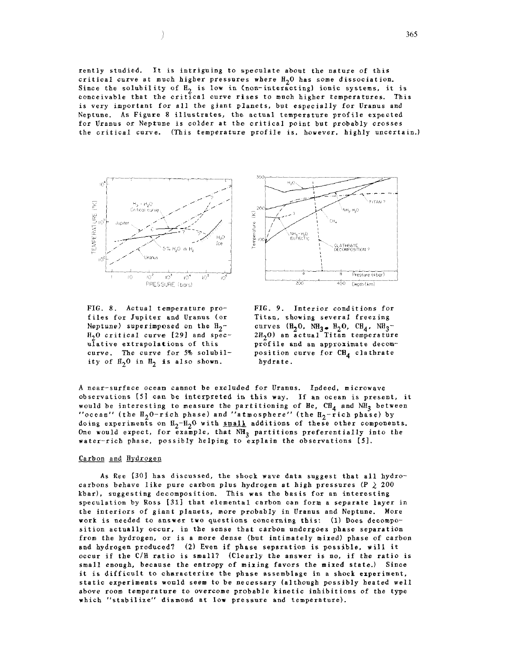rently studied. It is intriguing to speculate about the nature of this critical curve at much higher pressures where  $H_2O$  has some dissociation. Since the solubility of  $H_2$  is low in (non-interacting) ionic systems, it is conceivable that the critical curve rises to much higher temperatures. This is very important for all the giant planets, but especially for Uranus and Neptune. As Figure 8 illustrates, the actual temperature profile expected for Uranus or Neptune is colder at the critical point but probably crosses the critical curve. (This temperature profile is. however, highly uncertain.)



FIG. 8. Actual temperature profiles for Jupiter and Uranus (or Neptune) superimposed on the  $H_2$ - $H<sub>2</sub>0$  critical curve [29] and speculative extrapolations of this curve. The curve for 5% solubility of  $H_2$ <sup>0</sup> in  $H_2$  is also shown.



FIG. 9. Interior conditions for Titan, showing several freezing curves  $(H_2O, NH_3 - H_2O, CH_4, NH_3 2H<sub>2</sub>0$  an actual Titan temperature profile and an approximate decomposition curve for  $\text{CH}_A$  clathrate hydrate.

A near-surface ocean cannot be excluded for Uranus. Indeed, microwave observations [5] can be interpreted in this way. If an ocean is present, it would be interesting to measure the partitioning of He,  $CH_4$  and  $NH_3$  between "ocean" (the  $H_2 0$ -rich phase) and "atmosphere" (the  $H_2$ -rich phase) by doing experiments on  $H_2-H_20$  with small additions of these other components. One would expect, for example, that  $NH_3$  partitions preferentially into the water-rich phase, possibly helping to explain the observations *[5].* 

# Carbon and Hydrogen

As Ree [30] has discussed, the shock wave data suggest that all hydrocarbons behave like pure carbon plus hydrogen at high pressures (P  $\geq$  200 khar), suggesting decomposition. This was the basis for an interesting speculation by Ross [31] that elemental carbon can form a separate layer in the interiors of giant planets, more probably in Uranus and Neptune. More work is needed to answer two questions concerning this: (1) Does decomposition actually occur, in the sense that carbon undergoes phase separation from the hydrogen, or is a more dense (but intimately mixed) phase of carbon and hydrogen produced? (2) Even if phase separation is possible, will it occur if the C/H ratio is small? (Clearly the answer is no, if the ratio is small enough, because the entropy of mixing favors the mixed state.) Since it is difficult to characterize the phase assemblage in a shock experiment, static experiments would seem to be necessary (although possibly heated well above room temperature to overcome probable kinetic inhibitions of the type which "stabilize" diamond at low pressure and temperature).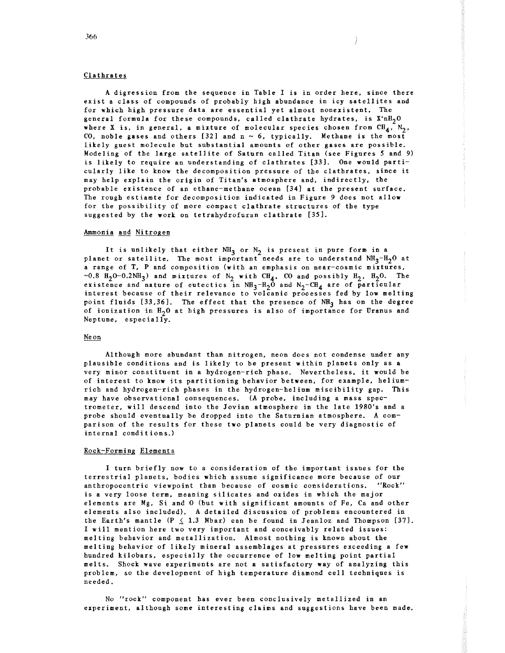## Clathrates

A digression from the sequence in Table I is in order here, since there exist a class of compounds of probably high abundance in icy satellites and for which high pressure data are essential yet almost nonexistent. The general formula for these compounds, called clathrate hydrates, is  $X^n$ -nH<sub>2</sub>0 where X is, in general, a mixture of molecular species chosen from  $CH_4$ ,  $N_2$ , CO, noble gases and others [32] and  $n \sim 6$ , typically. Methane is the most likely guest molecule but substantial amounts of other gases are possible. Modeling of the large satellite of Saturn called Titan (see Figures *5* and 9) is likely to require an understanding of clathrates [33). One would particularly like to know the decomposition pressure of the clathrates, since it may help explain the origin of Titan's atmosphere and, indirectly, the probable existence of an ethane-methane ocean [34) at the present surface. The rough estiamte for decomposition indicated in Figure 9 does not allow for the possibility of more compact clathrate structures of the type suggested by the work on tetrahydrofuran clathrate [35).

#### Ammonia and Nitrogen

It is unlikely that either  $NH_3$  or  $N_2$  is present in pure form in a planet or satellite. The most important needs are to understand  $NH_3-H_2O$  at a range of T, P and composition (with an emphasis on near-cosmic mixtures,  $\sim$ 0.8 H<sub>2</sub>O-0.2NH<sub>3</sub>) and mixtures of N<sub>2</sub> with CH<sub>4</sub>, CO and possibly H<sub>2</sub>, H<sub>2</sub>O. The existence and nature of eutectics in  $NH_3-H_2O$  and  $N_2-CH_4$  are of particular interest because of their relevance to volcanic processes fed by low melting point fluids  $[33,36]$ . The effect that the presence of NH<sub>3</sub> has on the degree of ionization in  $H_2O$  at high pressures is also of importance for Uranus and Neptune, especially.

## Ne on

Although more abundant than nitrogen, neon does not condense under any plausible conditions and is likely to be present within planets only as a very minor constituent in a hydrogen-rich phase. Nevertheless, it would be of interest to know its partitioning behavior between, for example, heliumrich and hydrogen-rich phases in the hydrogen-helium miscibility gap. This may have observational consequences. (A probe, including a mass spectrometer, will descend into the Jovian atmosphere in the late 1980's and a probe should eventually be dropped into the Saturnian atmosphere. A comparison of the results for these two planets could be very diagnostic of internal conditions.)

#### Rock-Forming Elements

I turn briefly now to a consideration of the important issues for the terrestrial planets, bodies which assume significance more because of our **anthropocentric viewpoint than because of cosmic considerations. "Rock"**  is a very loose term, meaning silicates and oxides in which the major elements are Mg, Si and 0 (but with significant amounts of Fe, Ca and other elements also included). A detailed discussion of problems encountered in the Earth's mantle  $(P \leq 1.3$  Mbar) can be found in Jeanloz and Thompson [37]. I will mention here two very important and conceivably related issues: melting behavior and metallization. Almost nothing is known about the melting behavior of likely mineral assemblages at pressures exceeding a few hundred kilobars, especially the occurrence of low melting point partial melts. Shock wave experiments are not a satisfactory way of analyzing this problem, so the development of high temperature diamond cell techniques is needed.

No **"rock" component has ever been conclusively metallized in an**  experiment, although some interesting claims and suggestions have been made.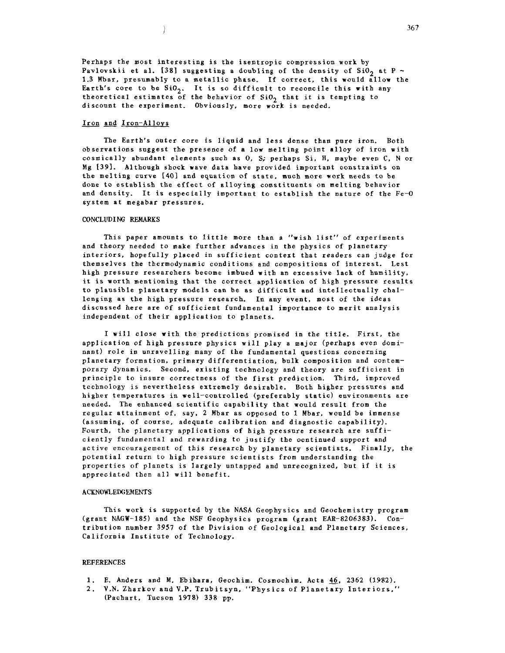Perhaps the most interesting is the isentropic compression work by Pavlovskii et al. [38] suggesting a doubling of the density of SiO<sub>2</sub> at P  $\sim$ 1.3 Mbar, presumably to a metallic phase. If correct, this would allow the Earth's core to be  $SiO<sub>2</sub>$ . It is so difficult to reconcile this with any theoretical estimates of the behavior of  $SiO<sub>2</sub>$  that it is tempting to discount the experiment. Obviously, more work is needed.

#### Iron and Iron-Alloys

 $\lambda$ 

The Earth's outer core is liquid and less dense than pure iron. Both observations suggest the presence of a low melting point alloy of iron with cosmically abundant elements such as 0, S; perhaps Si, H, maybe even C, N or Mg [39]. Although shock wave data have provided important constraints on the melting curve [40] and equation of state, much more work needs to be done to establish the effect of alloying constituents on melting behavior and density. It is especially important to establish the nature of the Fe-o system at megabar pressures.

## CONCLUDING REMARKS

This paper amounts to little more than a "wish list" of experiments and theory needed to make further advances in the physics of planetary interiors, hopefully placed in sufficient context that readers can judge for themselves the thermodynamic conditions and compositions of interest. Lest high pressure researchers become imbued with an excessive lack of humility, it is worth mentioning that the correct application of high pressure results to plausible planetary models can be as difficult and intellectually challenging as the high pressure research. In any event, most of the ideas discussed here are of sufficient fundamental importance to merit analysis independent of their application to planets.

I will close with the predictions promised in the title. First, the application of high pressure physics will play a major (perhaps even dominant) role in unravelling many of the fundamental questions concerning planetary formation, primary differentiation, bulk composition and contemporary dynamics. Second, existing technology and theory are sufficient in principle to insure correctness of the first prediction. Third, improved technology is nevertheless extremely desirable. Both higher pressures and higher temperatures in well-controlled (preferably static) environments are needed. The enhanced scientific capability that would result from the regular attainment of, say, 2 Mbar as opposed to 1 Mbar, would be immense (assuming, of course, adequate calibration and diagnostic capability). Fourth, the planetary applications of high pressure research are sufficiently fundamental and rewarding to justify the ocntinued support and active encouragement of this research by planetary scientists. Finally, the potential return to high pressure scientists from understanding the properties of planets is largely untapped and unrecognized, but if it is appreciated then all will benefit.

#### ACKNOWLEDGEMENTS

This work is supported by the NASA Geophysics and Geochemistry program (grant NAGW-185) and the NSF Geophysics program (grant EAR-8206383). Contribution number 3957 of the Division of Geological and Planetary Sciences, California Institute of Technology.

## REFERENCES

- 1. E. Anders and M. Ebihara, Geochim. Cosmochim. Acta  $46$ , 2362 (1982).
- 2. V.N. Zharkov and V.P. Trubitsyn, "Physics of Planetary Interiors," (Pachart, Tucson 1978) 338 pp.